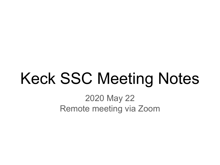# Keck SSC Meeting Notes

2020 May 22 Remote meeting via Zoom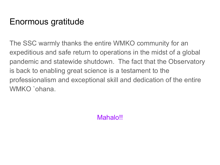# Enormous gratitude

The SSC warmly thanks the entire WMKO community for an expeditious and safe return to operations in the midst of a global pandemic and statewide shutdown. The fact that the Observatory is back to enabling great science is a testament to the professionalism and exceptional skill and dedication of the entire WMKO `ohana.

Mahalo!!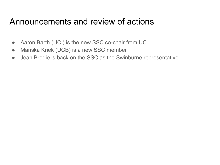# Announcements and review of actions

- Aaron Barth (UCI) is the new SSC co-chair from UC
- Mariska Kriek (UCB) is a new SSC member
- Jean Brodie is back on the SSC as the Swinburne representative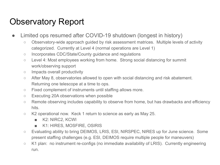# Observatory Report

- Limited ops resumed after COVID-19 shutdown (longest in history)
	- Observatory-wide approach guided by risk assessment matrices. Multiple levels of activity categorized. Currently at Level 4 (normal operations are Level 1)
	- Incorporates CDC/State/County guidance and regulations
	- Level 4: Most employees working from home. Strong social distancing for summit work/observing support
	- Impacts overall productivity
	- After May 8, observatories allowed to open with social distancing and risk abatement. Returning one telescope at a time to ops.
	- Fixed complement of instruments until staffing allows more.
	- Executing 20A observations when possible
	- Remote observing includes capability to observe from home, but has drawbacks and efficiency hits.
	- $\circ$  K2 operational now. Keck 1 return to science as early as May 25.
		- K2: NIRC2, KCWI
		- K1: HIRES, MOSFIRE, OSIRIS
	- Evaluating ability to bring DEIMOS, LRIS, ESI, NIRSPEC, NIRES up for June science. Some present staffing challenges (e.g. ESI, DEIMOS require multiple people for maneuvers)
	- K1 plan: no instrument re-configs (no immediate availability of LRIS). Currently engineering run.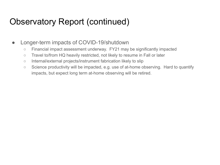### Observatory Report (continued)

- Longer-term impacts of COVID-19/shutdown
	- Financial impact assessment underway. FY21 may be significantly impacted
	- Travel to/from HQ heavily restricted, not likely to resume in Fall or later
	- Internal/external projects/instrument fabrication likely to slip
	- Science productivity will be impacted, e.g. use of at-home observing. Hard to quantify impacts, but expect long term at-home observing will be retired.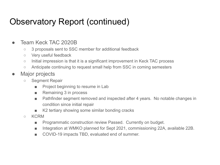# Observatory Report (continued)

#### ● Team Keck TAC 2020B

- 3 proposals sent to SSC member for additional feedback
- Very useful feedback
- Initial impression is that it is a significant improvement in Keck TAC process
- Anticipate continuing to request small help from SSC in coming semesters
- Major projects
	- Segment Repair
		- Project beginning to resume in Lab
		- Remaining 3 in process
		- Pathfinder segment removed and inspected after 4 years. No notable changes in condition since initial repair
		- K2 tertiary showing some similar bonding cracks
	- KCRM
		- Programmatic construction review Passed. Currently on budget.
		- Integration at WMKO planned for Sept 2021, commissioning 22A, available 22B.
		- COVID-19 impacts TBD, evaluated end of summer.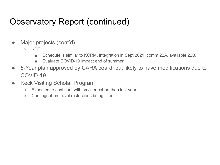# Observatory Report (continued)

- Major projects (cont'd)
	- KPF
		- Schedule is similar to KCRM, integration in Sept 2021, comm 22A, available 22B.
		- Evaluate COVID-19 impact end of summer.
- 5-Year plan approved by CARA board, but likely to have modifications due to COVID-19
- Keck Visiting Scholar Program
	- Expected to continue, with smaller cohort than last year
	- Contingent on travel restrictions being lifted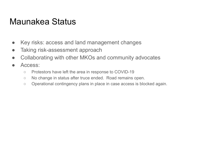#### Maunakea Status

- Key risks: access and land management changes
- Taking risk-assessment approach
- Collaborating with other MKOs and community advocates
- Access:
	- Protestors have left the area in response to COVID-19
	- No change in status after truce ended. Road remains open.
	- Operational contingency plans in place in case access is blocked again.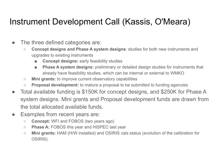# Instrument Development Call (Kassis, O'Meara)

- The three defined categories are:
	- **Concept designs and Phase A system designs**: studies for both new instruments and upgrades to existing instruments
		- **Concept designs:** early feasibility studies
		- **Phase A system designs:** preliminary or detailed design studies for instruments that already have feasibility studies, which can be internal or external to WMKO
	- **Mini grants:** to improve current observatory capabilities
	- **Proposal development:** to mature a proposal to be submitted to funding agencies
- Total available funding is \$150K for concept designs, and \$250K for Phase A system designs. Mini grants and Proposal development funds are drawn from the total allocated available funds.
- Examples from recent years are:
	- **Concept:** WFI and FOBOS (two years ago)
	- **Phase A:** FOBOS this year and HISPEC last year
	- **Mini grants:** HAM (H/W installed) and OSIRIS cals status (evolution of the calibration for OSIRIS).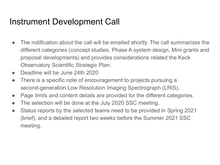# Instrument Development Call

- The notification about the call will be emailed shortly. The call summarizes the different categories (concept studies, Phase A system design, Mini grants and proposal developments) and provides considerations related the Keck Observatory Scientific Strategic Plan.
- Deadline will be June 24th 2020
- There is a specific note of encouragement to projects pursuing a second-generation Low Resolution Imaging Spectrograph (LRIS).
- Page limits and content details are provided for the different categories.
- The selection will be done at the July 2020 SSC meeting.
- Status reports by the selected teams need to be provided in Spring 2021 (brief), and a detailed report two weeks before the Summer 2021 SSC meeting.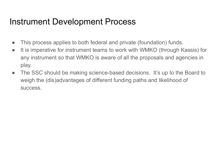# Instrument Development Process

- This process applies to both federal and private (foundation) funds.
- It is imperative for instrument teams to work with WMKO (through Kassis) for any instrument so that WMKO is aware of all the proposals and agencies in play.
- The SSC should be making science-based decisions. It's up to the Board to weigh the (dis)advantages of different funding paths and likelihood of success.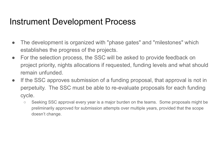### Instrument Development Process

- The development is organized with "phase gates" and "milestones" which establishes the progress of the projects.
- For the selection process, the SSC will be asked to provide feedback on project priority, nights allocations if requested, funding levels and what should remain unfunded.
- If the SSC approves submission of a funding proposal, that approval is not in perpetuity. The SSC must be able to re-evaluate proposals for each funding cycle.
	- Seeking SSC approval every year is a major burden on the teams. Some proposals might be preliminarily approved for submission attempts over multiple years, provided that the scope doesn't change.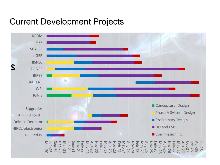#### Current Development Projects